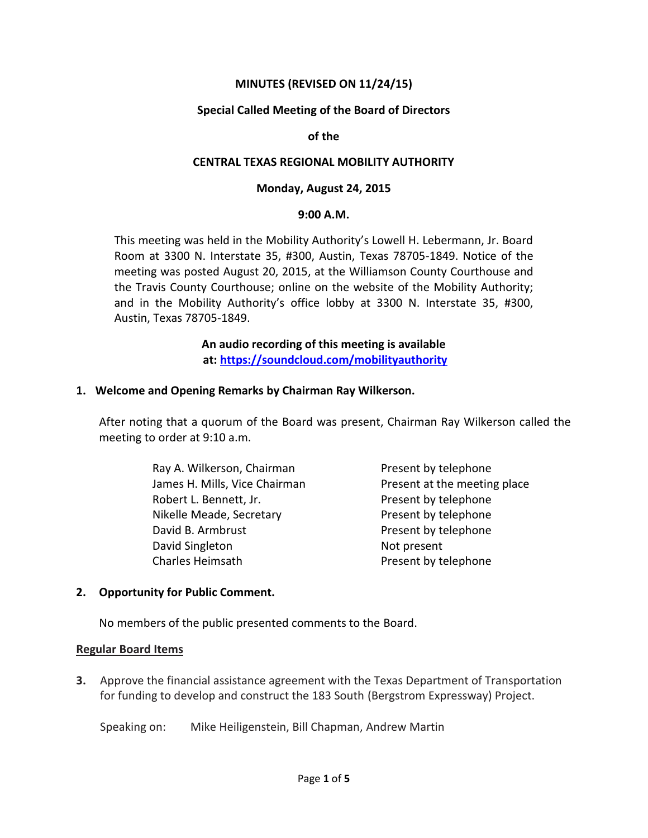## **MINUTES (REVISED ON 11/24/15)**

### **Special Called Meeting of the Board of Directors**

#### **of the**

#### **CENTRAL TEXAS REGIONAL MOBILITY AUTHORITY**

#### **Monday, August 24, 2015**

#### **9:00 A.M.**

This meeting was held in the Mobility Authority's Lowell H. Lebermann, Jr. Board Room at 3300 N. Interstate 35, #300, Austin, Texas 78705-1849. Notice of the meeting was posted August 20, 2015, at the Williamson County Courthouse and the Travis County Courthouse; online on the website of the Mobility Authority; and in the Mobility Authority's office lobby at 3300 N. Interstate 35, #300, Austin, Texas 78705-1849.

> **An audio recording of this meeting is available at:<https://soundcloud.com/mobilityauthority>**

#### **1. Welcome and Opening Remarks by Chairman Ray Wilkerson.**

After noting that a quorum of the Board was present, Chairman Ray Wilkerson called the meeting to order at 9:10 a.m.

> Ray A. Wilkerson, Chairman Present by telephone James H. Mills, Vice Chairman Present at the meeting place Robert L. Bennett, Jr. **Exercise 20 Fresent by telephone** Nikelle Meade, Secretary **Present by telephone** David B. Armbrust **Present by telephone** David Singleton Not present Charles Heimsath **Present by telephone**

### **2. Opportunity for Public Comment.**

No members of the public presented comments to the Board.

### **Regular Board Items**

**3.** Approve the financial assistance agreement with the Texas Department of Transportation for funding to develop and construct the 183 South (Bergstrom Expressway) Project.

Speaking on: Mike Heiligenstein, Bill Chapman, Andrew Martin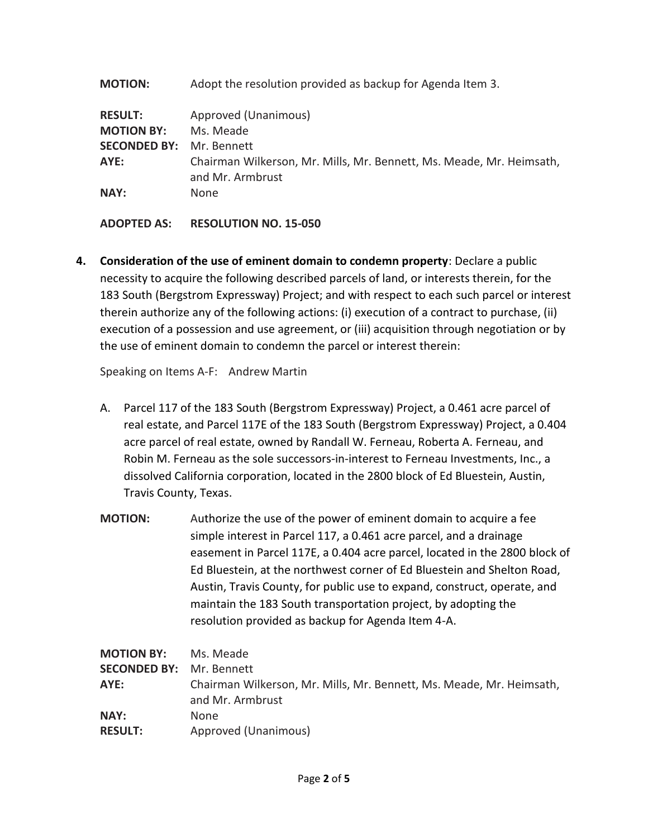**MOTION:** Adopt the resolution provided as backup for Agenda Item 3.

| <b>RESULT:</b>                  | Approved (Unanimous)                                                                     |
|---------------------------------|------------------------------------------------------------------------------------------|
| <b>MOTION BY:</b>               | Ms. Meade                                                                                |
| <b>SECONDED BY: Mr. Bennett</b> |                                                                                          |
| AYE:                            | Chairman Wilkerson, Mr. Mills, Mr. Bennett, Ms. Meade, Mr. Heimsath,<br>and Mr. Armbrust |
| NAY:                            | <b>None</b>                                                                              |

**ADOPTED AS: RESOLUTION NO. 15-050**

**4. Consideration of the use of eminent domain to condemn property**: Declare a public necessity to acquire the following described parcels of land, or interests therein, for the 183 South (Bergstrom Expressway) Project; and with respect to each such parcel or interest therein authorize any of the following actions: (i) execution of a contract to purchase, (ii) execution of a possession and use agreement, or (iii) acquisition through negotiation or by the use of eminent domain to condemn the parcel or interest therein:

Speaking on Items A-F: Andrew Martin

- A. Parcel 117 of the 183 South (Bergstrom Expressway) Project, a 0.461 acre parcel of real estate, and Parcel 117E of the 183 South (Bergstrom Expressway) Project, a 0.404 acre parcel of real estate, owned by Randall W. Ferneau, Roberta A. Ferneau, and Robin M. Ferneau as the sole successors-in-interest to Ferneau Investments, Inc., a dissolved California corporation, located in the 2800 block of Ed Bluestein, Austin, Travis County, Texas.
- **MOTION:** Authorize the use of the power of eminent domain to acquire a fee simple interest in Parcel 117, a 0.461 acre parcel, and a drainage easement in Parcel 117E, a 0.404 acre parcel, located in the 2800 block of Ed Bluestein, at the northwest corner of Ed Bluestein and Shelton Road, Austin, Travis County, for public use to expand, construct, operate, and maintain the 183 South transportation project, by adopting the resolution provided as backup for Agenda Item 4-A.

| <b>MOTION BY:</b>               | Ms. Meade                                                                                |
|---------------------------------|------------------------------------------------------------------------------------------|
| <b>SECONDED BY:</b> Mr. Bennett |                                                                                          |
| AYE:                            | Chairman Wilkerson, Mr. Mills, Mr. Bennett, Ms. Meade, Mr. Heimsath,<br>and Mr. Armbrust |
| NAY:                            | None.                                                                                    |
| <b>RESULT:</b>                  | Approved (Unanimous)                                                                     |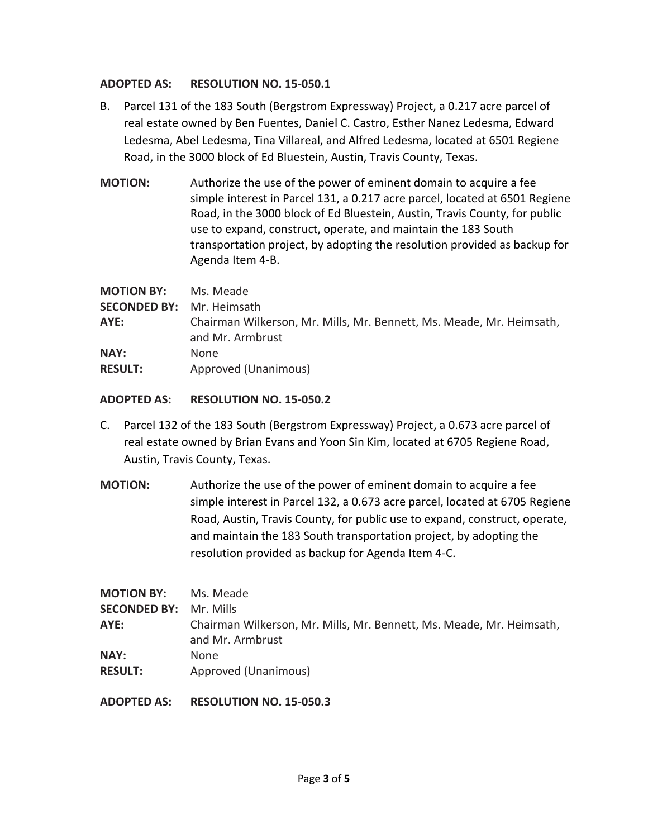## **ADOPTED AS: RESOLUTION NO. 15-050.1**

- B. Parcel 131 of the 183 South (Bergstrom Expressway) Project, a 0.217 acre parcel of real estate owned by Ben Fuentes, Daniel C. Castro, Esther Nanez Ledesma, Edward Ledesma, Abel Ledesma, Tina Villareal, and Alfred Ledesma, located at 6501 Regiene Road, in the 3000 block of Ed Bluestein, Austin, Travis County, Texas.
- **MOTION:** Authorize the use of the power of eminent domain to acquire a fee simple interest in Parcel 131, a 0.217 acre parcel, located at 6501 Regiene Road, in the 3000 block of Ed Bluestein, Austin, Travis County, for public use to expand, construct, operate, and maintain the 183 South transportation project, by adopting the resolution provided as backup for Agenda Item 4-B.

| <b>MOTION BY:</b>                | Ms. Meade                                                                                |
|----------------------------------|------------------------------------------------------------------------------------------|
| <b>SECONDED BY:</b> Mr. Heimsath |                                                                                          |
| AYE:                             | Chairman Wilkerson, Mr. Mills, Mr. Bennett, Ms. Meade, Mr. Heimsath,<br>and Mr. Armbrust |
| <b>NAY:</b>                      | <b>None</b>                                                                              |
| <b>RESULT:</b>                   | Approved (Unanimous)                                                                     |

### **ADOPTED AS: RESOLUTION NO. 15-050.2**

- C. Parcel 132 of the 183 South (Bergstrom Expressway) Project, a 0.673 acre parcel of real estate owned by Brian Evans and Yoon Sin Kim, located at 6705 Regiene Road, Austin, Travis County, Texas.
- **MOTION:** Authorize the use of the power of eminent domain to acquire a fee simple interest in Parcel 132, a 0.673 acre parcel, located at 6705 Regiene Road, Austin, Travis County, for public use to expand, construct, operate, and maintain the 183 South transportation project, by adopting the resolution provided as backup for Agenda Item 4-C.

| <b>MOTION BY:</b><br><b>SECONDED BY: Mr. Mills</b> | Ms. Meade                                                                                |
|----------------------------------------------------|------------------------------------------------------------------------------------------|
| AYE:                                               | Chairman Wilkerson, Mr. Mills, Mr. Bennett, Ms. Meade, Mr. Heimsath,<br>and Mr. Armbrust |
| NAY:<br><b>RESULT:</b>                             | None.<br>Approved (Unanimous)                                                            |

### **ADOPTED AS: RESOLUTION NO. 15-050.3**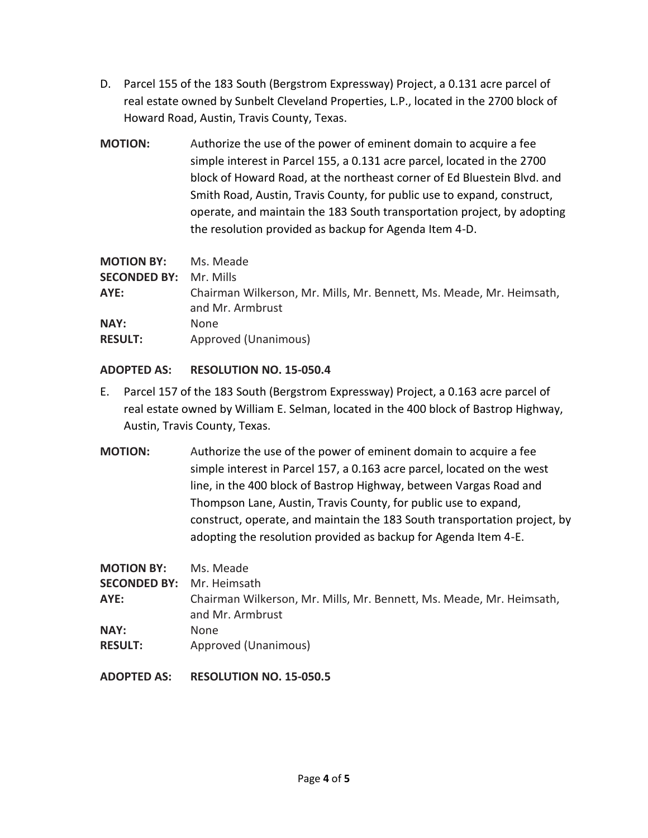- D. Parcel 155 of the 183 South (Bergstrom Expressway) Project, a 0.131 acre parcel of real estate owned by Sunbelt Cleveland Properties, L.P., located in the 2700 block of Howard Road, Austin, Travis County, Texas.
- **MOTION:** Authorize the use of the power of eminent domain to acquire a fee simple interest in Parcel 155, a 0.131 acre parcel, located in the 2700 block of Howard Road, at the northeast corner of Ed Bluestein Blvd. and Smith Road, Austin, Travis County, for public use to expand, construct, operate, and maintain the 183 South transportation project, by adopting the resolution provided as backup for Agenda Item 4-D.

| <b>MOTION BY:</b>   | Ms. Meade                                                                                |
|---------------------|------------------------------------------------------------------------------------------|
| <b>SECONDED BY:</b> | Mr. Mills                                                                                |
| AYE:                | Chairman Wilkerson, Mr. Mills, Mr. Bennett, Ms. Meade, Mr. Heimsath,<br>and Mr. Armbrust |
| NAY:                | None.                                                                                    |
| <b>RESULT:</b>      | Approved (Unanimous)                                                                     |

# **ADOPTED AS: RESOLUTION NO. 15-050.4**

- E. Parcel 157 of the 183 South (Bergstrom Expressway) Project, a 0.163 acre parcel of real estate owned by William E. Selman, located in the 400 block of Bastrop Highway, Austin, Travis County, Texas.
- **MOTION:** Authorize the use of the power of eminent domain to acquire a fee simple interest in Parcel 157, a 0.163 acre parcel, located on the west line, in the 400 block of Bastrop Highway, between Vargas Road and Thompson Lane, Austin, Travis County, for public use to expand, construct, operate, and maintain the 183 South transportation project, by adopting the resolution provided as backup for Agenda Item 4-E.

**MOTION BY:** Ms. Meade

**SECONDED BY:** Mr. Heimsath **AYE:** Chairman Wilkerson, Mr. Mills, Mr. Bennett, Ms. Meade, Mr. Heimsath, and Mr. Armbrust **NAY:** None

**RESULT:** Approved (Unanimous)

**ADOPTED AS: RESOLUTION NO. 15-050.5**